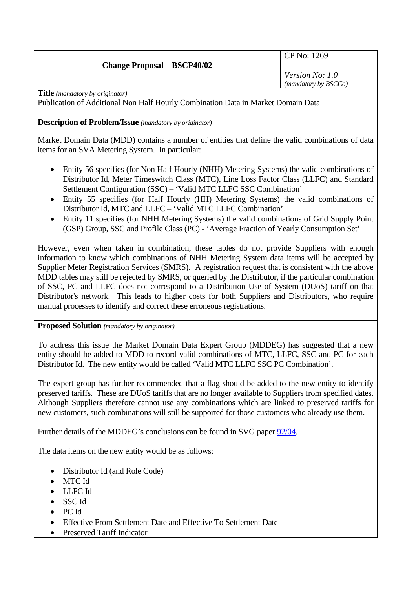# **Change Proposal – BSCP40/02**

CP No: 1269

*Version No: 1.0 (mandatory by BSCCo)*

**Title** *(mandatory by originator)* 

Publication of Additional Non Half Hourly Combination Data in Market Domain Data

# **Description of Problem/Issue** *(mandatory by originator)*

Market Domain Data (MDD) contains a number of entities that define the valid combinations of data items for an SVA Metering System. In particular:

- Entity 56 specifies (for Non Half Hourly (NHH) Metering Systems) the valid combinations of Distributor Id, Meter Timeswitch Class (MTC), Line Loss Factor Class (LLFC) and Standard Settlement Configuration (SSC) – 'Valid MTC LLFC SSC Combination'
- Entity 55 specifies (for Half Hourly (HH) Metering Systems) the valid combinations of Distributor Id, MTC and LLFC – 'Valid MTC LLFC Combination'
- Entity 11 specifies (for NHH Metering Systems) the valid combinations of Grid Supply Point (GSP) Group, SSC and Profile Class (PC) - 'Average Fraction of Yearly Consumption Set'

However, even when taken in combination, these tables do not provide Suppliers with enough information to know which combinations of NHH Metering System data items will be accepted by Supplier Meter Registration Services (SMRS). A registration request that is consistent with the above MDD tables may still be rejected by SMRS, or queried by the Distributor, if the particular combination of SSC, PC and LLFC does not correspond to a Distribution Use of System (DUoS) tariff on that Distributor's network. This leads to higher costs for both Suppliers and Distributors, who require manual processes to identify and correct these erroneous registrations.

**Proposed Solution** *(mandatory by originator)* 

To address this issue the Market Domain Data Expert Group (MDDEG) has suggested that a new entity should be added to MDD to record valid combinations of MTC, LLFC, SSC and PC for each Distributor Id. The new entity would be called 'Valid MTC LLFC SSC PC Combination'.

The expert group has further recommended that a flag should be added to the new entity to identify preserved tariffs. These are DUoS tariffs that are no longer available to Suppliers from specified dates. Although Suppliers therefore cannot use any combinations which are linked to preserved tariffs for new customers, such combinations will still be supported for those customers who already use them.

Further details of the MDDEG's conclusions can be found in SVG paper [92/04.](http://www.elexon.co.uk/documents/BSC_Panel_and_Panel_Committees/SVG_Meeting_2008_-_092_-_Papers/SVG92_04_Recommendations_of_MDD_Expert_Group_Review_Final.pdf)

The data items on the new entity would be as follows:

- Distributor Id (and Role Code)
- MTC Id
- LLFC Id
- SSC Id
- PC Id
- Effective From Settlement Date and Effective To Settlement Date
- Preserved Tariff Indicator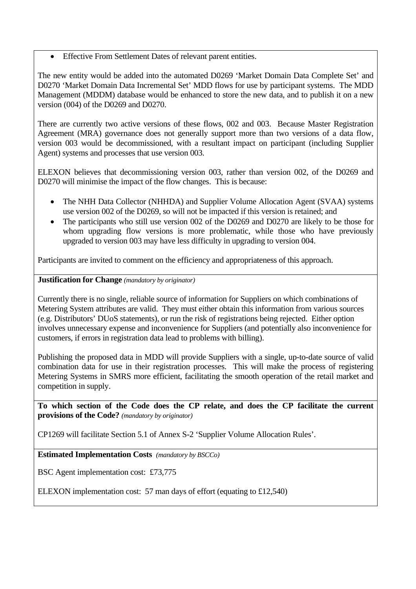• Effective From Settlement Dates of relevant parent entities.

The new entity would be added into the automated D0269 'Market Domain Data Complete Set' and D0270 'Market Domain Data Incremental Set' MDD flows for use by participant systems. The MDD Management (MDDM) database would be enhanced to store the new data, and to publish it on a new version (004) of the D0269 and D0270.

There are currently two active versions of these flows, 002 and 003. Because Master Registration Agreement (MRA) governance does not generally support more than two versions of a data flow, version 003 would be decommissioned, with a resultant impact on participant (including Supplier Agent) systems and processes that use version 003.

ELEXON believes that decommissioning version 003, rather than version 002, of the D0269 and D0270 will minimise the impact of the flow changes. This is because:

- The NHH Data Collector (NHHDA) and Supplier Volume Allocation Agent (SVAA) systems use version 002 of the D0269, so will not be impacted if this version is retained; and
- The participants who still use version 002 of the D0269 and D0270 are likely to be those for whom upgrading flow versions is more problematic, while those who have previously upgraded to version 003 may have less difficulty in upgrading to version 004.

Participants are invited to comment on the efficiency and appropriateness of this approach.

## **Justification for Change** *(mandatory by originator)*

Currently there is no single, reliable source of information for Suppliers on which combinations of Metering System attributes are valid. They must either obtain this information from various sources (e.g. Distributors' DUoS statements), or run the risk of registrations being rejected. Either option involves unnecessary expense and inconvenience for Suppliers (and potentially also inconvenience for customers, if errors in registration data lead to problems with billing).

Publishing the proposed data in MDD will provide Suppliers with a single, up-to-date source of valid combination data for use in their registration processes. This will make the process of registering Metering Systems in SMRS more efficient, facilitating the smooth operation of the retail market and competition in supply.

**To which section of the Code does the CP relate, and does the CP facilitate the current provisions of the Code?** *(mandatory by originator)* 

CP1269 will facilitate Section 5.1 of Annex S-2 'Supplier Volume Allocation Rules'.

**Estimated Implementation Costs** *(mandatory by BSCCo)* 

BSC Agent implementation cost: £73,775

ELEXON implementation cost: 57 man days of effort (equating to £12,540)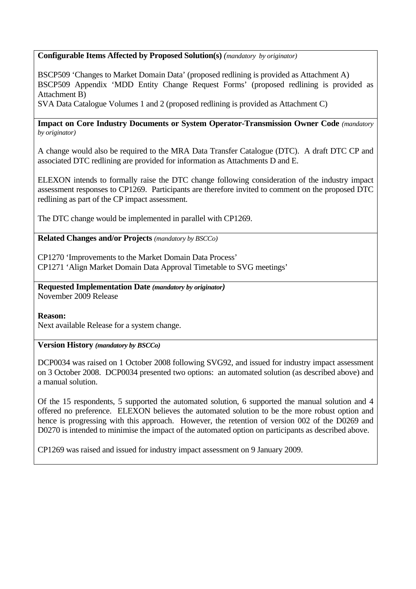## **Configurable Items Affected by Proposed Solution(s)** *(mandatory by originator)*

BSCP509 'Changes to Market Domain Data' (proposed redlining is provided as Attachment A) BSCP509 Appendix 'MDD Entity Change Request Forms' (proposed redlining is provided as Attachment B)

SVA Data Catalogue Volumes 1 and 2 (proposed redlining is provided as Attachment C)

#### **Impact on Core Industry Documents or System Operator-Transmission Owner Code** *(mandatory by originator)*

A change would also be required to the MRA Data Transfer Catalogue (DTC). A draft DTC CP and associated DTC redlining are provided for information as Attachments D and E.

ELEXON intends to formally raise the DTC change following consideration of the industry impact assessment responses to CP1269. Participants are therefore invited to comment on the proposed DTC redlining as part of the CP impact assessment.

The DTC change would be implemented in parallel with CP1269.

# **Related Changes and/or Projects** *(mandatory by BSCCo)*

CP1270 'Improvements to the Market Domain Data Process' CP1271 'Align Market Domain Data Approval Timetable to SVG meetings'

**Requested Implementation Date** *(mandatory by originator)*  November 2009 Release

#### **Reason:**

Next available Release for a system change.

**Version History** *(mandatory by BSCCo)* 

DCP0034 was raised on 1 October 2008 following SVG92, and issued for industry impact assessment on 3 October 2008. DCP0034 presented two options: an automated solution (as described above) and a manual solution.

Of the 15 respondents, 5 supported the automated solution, 6 supported the manual solution and 4 offered no preference. ELEXON believes the automated solution to be the more robust option and hence is progressing with this approach. However, the retention of version 002 of the D0269 and D0270 is intended to minimise the impact of the automated option on participants as described above.

CP1269 was raised and issued for industry impact assessment on 9 January 2009.